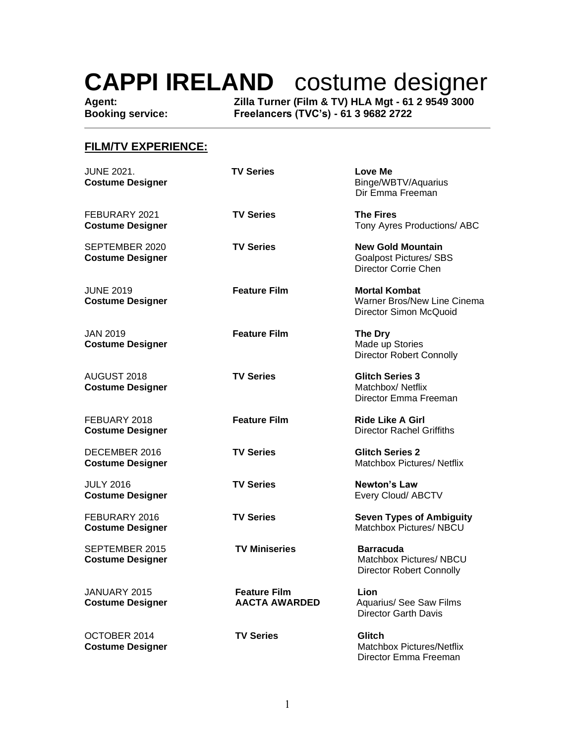**Agent: Zilla Turner (Film & TV) HLA Mgt - 61 2 9549 3000 Booking service: Freelancers (TVC's) - 61 3 9682 2722**

### **FILM/TV EXPERIENCE:**

| <b>JUNE 2021.</b><br><b>Costume Designer</b> | <b>TV Series</b>                            | Love Me<br>Binge/WBTV/Aquarius<br>Dir Emma Freeman                                   |
|----------------------------------------------|---------------------------------------------|--------------------------------------------------------------------------------------|
| FEBURARY 2021<br><b>Costume Designer</b>     | <b>TV Series</b>                            | <b>The Fires</b><br>Tony Ayres Productions/ ABC                                      |
| SEPTEMBER 2020<br><b>Costume Designer</b>    | <b>TV Series</b>                            | <b>New Gold Mountain</b><br><b>Goalpost Pictures/ SBS</b><br>Director Corrie Chen    |
| <b>JUNE 2019</b><br><b>Costume Designer</b>  | <b>Feature Film</b>                         | <b>Mortal Kombat</b><br><b>Warner Bros/New Line Cinema</b><br>Director Simon McQuoid |
| <b>JAN 2019</b><br><b>Costume Designer</b>   | <b>Feature Film</b>                         | <b>The Dry</b><br>Made up Stories<br><b>Director Robert Connolly</b>                 |
| AUGUST 2018<br><b>Costume Designer</b>       | <b>TV Series</b>                            | <b>Glitch Series 3</b><br>Matchbox/Netflix<br>Director Emma Freeman                  |
| FEBUARY 2018<br><b>Costume Designer</b>      | <b>Feature Film</b>                         | <b>Ride Like A Girl</b><br><b>Director Rachel Griffiths</b>                          |
| DECEMBER 2016<br><b>Costume Designer</b>     | <b>TV Series</b>                            | <b>Glitch Series 2</b><br>Matchbox Pictures/Netflix                                  |
| <b>JULY 2016</b><br><b>Costume Designer</b>  | <b>TV Series</b>                            | <b>Newton's Law</b><br>Every Cloud/ ABCTV                                            |
| FEBURARY 2016<br><b>Costume Designer</b>     | <b>TV Series</b>                            | <b>Seven Types of Ambiguity</b><br>Matchbox Pictures/ NBCU                           |
| SEPTEMBER 2015<br><b>Costume Designer</b>    | <b>TV Miniseries</b>                        | <b>Barracuda</b><br>Matchbox Pictures/ NBCU<br><b>Director Robert Connolly</b>       |
| JANUARY 2015<br><b>Costume Designer</b>      | <b>Feature Film</b><br><b>AACTA AWARDED</b> | Lion<br>Aquarius/ See Saw Films<br><b>Director Garth Davis</b>                       |
| OCTOBER 2014<br><b>Costume Designer</b>      | <b>TV Series</b>                            | <b>Glitch</b><br>Matchbox Pictures/Netflix<br>Director Emma Freeman                  |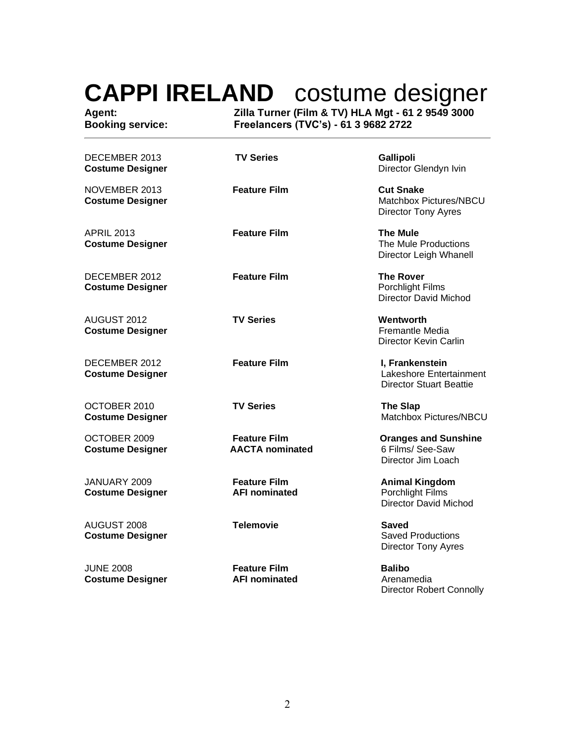| Agent:<br><b>Booking service:</b><br>DECEMBER 2013<br><b>Costume Designer</b> | Zilla Turner (Film & TV) HLA Mgt - 61 2 9549 3000<br>Freelancers (TVC's) - 61 3 9682 2722 |                                                                              |  |
|-------------------------------------------------------------------------------|-------------------------------------------------------------------------------------------|------------------------------------------------------------------------------|--|
|                                                                               | <b>TV Series</b>                                                                          | Gallipoli<br>Director Glendyn Ivin                                           |  |
| NOVEMBER 2013<br><b>Costume Designer</b>                                      | <b>Feature Film</b>                                                                       | <b>Cut Snake</b><br>Matchbox Pictures/NBCU<br>Director Tony Ayres            |  |
| <b>APRIL 2013</b><br><b>Costume Designer</b>                                  | <b>Feature Film</b>                                                                       | <b>The Mule</b><br>The Mule Productions<br>Director Leigh Whanell            |  |
| DECEMBER 2012<br><b>Costume Designer</b>                                      | <b>Feature Film</b>                                                                       | <b>The Rover</b><br><b>Porchlight Films</b><br><b>Director David Michod</b>  |  |
| AUGUST 2012<br><b>Costume Designer</b>                                        | <b>TV Series</b>                                                                          | Wentworth<br><b>Fremantle Media</b><br>Director Kevin Carlin                 |  |
| DECEMBER 2012<br><b>Costume Designer</b>                                      | <b>Feature Film</b>                                                                       | I, Frankenstein<br>Lakeshore Entertainment<br><b>Director Stuart Beattie</b> |  |
| OCTOBER 2010<br><b>Costume Designer</b>                                       | <b>TV Series</b>                                                                          | <b>The Slap</b><br>Matchbox Pictures/NBCU                                    |  |
| OCTOBER 2009<br><b>Costume Designer</b>                                       | <b>Feature Film</b><br><b>AACTA</b> nominated                                             | <b>Oranges and Sunshine</b><br>6 Films/ See-Saw<br>Director Jim Loach        |  |
| JANUARY 2009<br><b>Costume Designer</b>                                       | <b>Feature Film</b><br><b>AFI nominated</b>                                               | <b>Animal Kingdom</b><br>Porchlight Films<br>Director David Michod           |  |
| AUGUST 2008<br><b>Costume Designer</b>                                        | <b>Telemovie</b>                                                                          | Saved<br><b>Saved Productions</b><br><b>Director Tony Ayres</b>              |  |
| <b>JUNE 2008</b><br><b>Costume Designer</b>                                   | <b>Feature Film</b><br><b>AFI nominated</b>                                               | <b>Balibo</b><br>Arenamedia<br><b>Director Robert Connolly</b>               |  |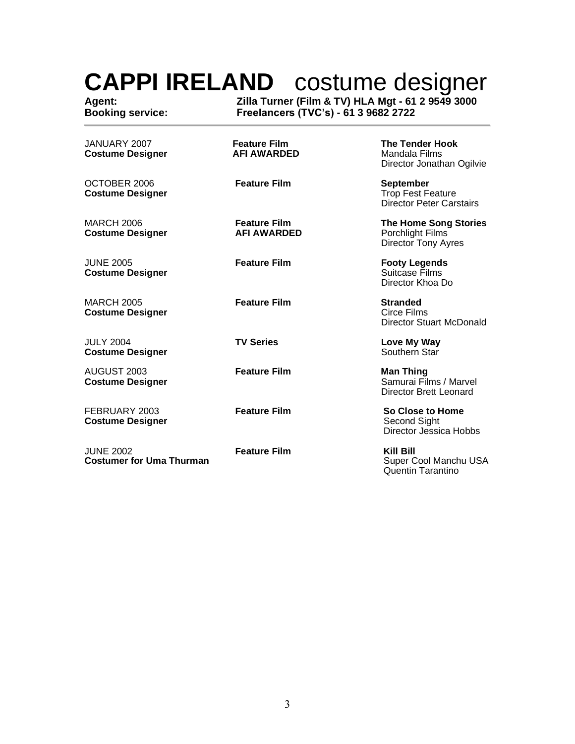**Agent: Zilla Turner (Film & TV) HLA Mgt - 61 2 9549 3000 Booking service: Freelancers (TVC's) - 61 3 9682 2722**

| JANUARY 2007<br><b>Costume Designer</b>             | <b>Feature Film</b><br><b>AFI AWARDED</b> | <b>The Tender Hook</b><br>Mandala Films<br>Director Jonathan Ogilvie            |
|-----------------------------------------------------|-------------------------------------------|---------------------------------------------------------------------------------|
| OCTOBER 2006<br><b>Costume Designer</b>             | <b>Feature Film</b>                       | <b>September</b><br><b>Trop Fest Feature</b><br><b>Director Peter Carstairs</b> |
| <b>MARCH 2006</b><br><b>Costume Designer</b>        | <b>Feature Film</b><br><b>AFI AWARDED</b> | <b>The Home Song Stories</b><br>Porchlight Films<br>Director Tony Ayres         |
| <b>JUNE 2005</b><br><b>Costume Designer</b>         | <b>Feature Film</b>                       | <b>Footy Legends</b><br>Suitcase Films<br>Director Khoa Do                      |
| <b>MARCH 2005</b><br><b>Costume Designer</b>        | <b>Feature Film</b>                       | <b>Stranded</b><br>Circe Films<br>Director Stuart McDonald                      |
| <b>JULY 2004</b><br><b>Costume Designer</b>         | <b>TV Series</b>                          | Love My Way<br>Southern Star                                                    |
| AUGUST 2003<br><b>Costume Designer</b>              | <b>Feature Film</b>                       | <b>Man Thing</b><br>Samurai Films / Marvel<br><b>Director Brett Leonard</b>     |
| FEBRUARY 2003<br><b>Costume Designer</b>            | <b>Feature Film</b>                       | So Close to Home<br>Second Sight<br>Director Jessica Hobbs                      |
| <b>JUNE 2002</b><br><b>Costumer for Uma Thurman</b> | <b>Feature Film</b>                       | Kill Bill<br>Super Cool Manchu USA<br>Quentin Tarantino                         |